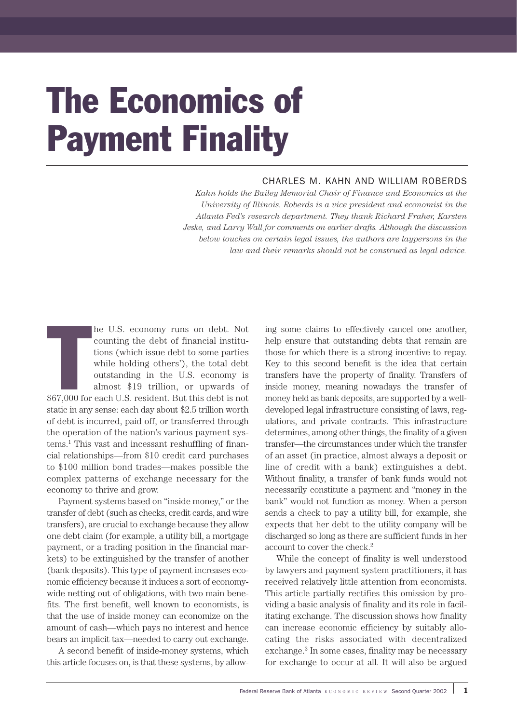# The Economics of Payment Finality

# CHARLES M. KAHN AND WILLIAM ROBERDS

*Kahn holds the Bailey Memorial Chair of Finance and Economics at the University of Illinois. Roberds is a vice president and economist in the Atlanta Fed's research department. They thank Richard Fraher, Karsten Jeske, and Larry Wall for comments on earlier drafts. Although the discussion below touches on certain legal issues, the authors are laypersons in the law and their remarks should not be construed as legal advice.*

he U.S. economy runs on debt. Not<br>counting the debt of financial institu-<br>tions (which issue debt to some parties<br>while holding others'), the total debt<br>outstanding in the U.S. economy is<br> $\$67,000$  for each U.S. resident. he U.S. economy runs on debt. Not counting the debt of financial institutions (which issue debt to some parties while holding others'), the total debt outstanding in the U.S. economy is almost \$19 trillion, or upwards of static in any sense: each day about \$2.5 trillion worth of debt is incurred, paid off, or transferred through the operation of the nation's various payment systems.1 This vast and incessant reshuffling of financial relationships—from \$10 credit card purchases to \$100 million bond trades—makes possible the complex patterns of exchange necessary for the economy to thrive and grow.

Payment systems based on "inside money," or the transfer of debt (such as checks, credit cards, and wire transfers), are crucial to exchange because they allow one debt claim (for example, a utility bill, a mortgage payment, or a trading position in the financial markets) to be extinguished by the transfer of another (bank deposits). This type of payment increases economic efficiency because it induces a sort of economywide netting out of obligations, with two main benefits. The first benefit, well known to economists, is that the use of inside money can economize on the amount of cash—which pays no interest and hence bears an implicit tax—needed to carry out exchange.

A second benefit of inside-money systems, which this article focuses on, is that these systems, by allow-

ing some claims to effectively cancel one another, help ensure that outstanding debts that remain are those for which there is a strong incentive to repay. Key to this second benefit is the idea that certain transfers have the property of finality. Transfers of inside money, meaning nowadays the transfer of money held as bank deposits, are supported by a welldeveloped legal infrastructure consisting of laws, regulations, and private contracts. This infrastructure determines, among other things, the finality of a given transfer—the circumstances under which the transfer of an asset (in practice, almost always a deposit or line of credit with a bank) extinguishes a debt. Without finality, a transfer of bank funds would not necessarily constitute a payment and "money in the bank" would not function as money. When a person sends a check to pay a utility bill, for example, she expects that her debt to the utility company will be discharged so long as there are sufficient funds in her account to cover the check.<sup>2</sup>

While the concept of finality is well understood by lawyers and payment system practitioners, it has received relatively little attention from economists. This article partially rectifies this omission by providing a basic analysis of finality and its role in facilitating exchange. The discussion shows how finality can increase economic efficiency by suitably allocating the risks associated with decentralized exchange.<sup>3</sup> In some cases, finality may be necessary for exchange to occur at all. It will also be argued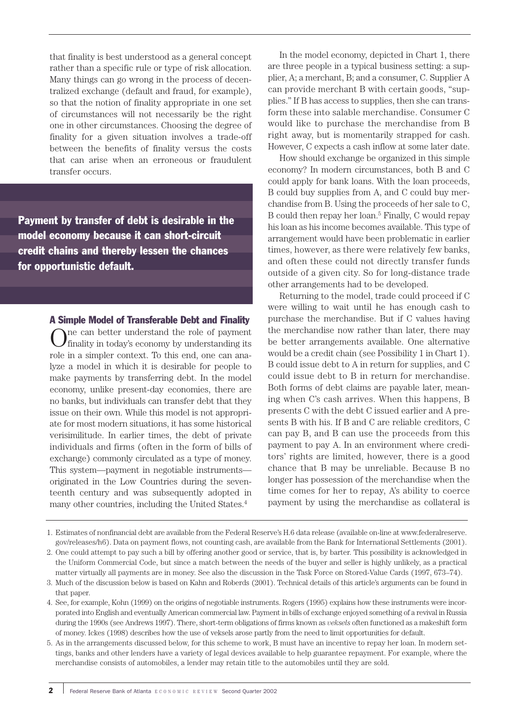that finality is best understood as a general concept rather than a specific rule or type of risk allocation. Many things can go wrong in the process of decentralized exchange (default and fraud, for example), so that the notion of finality appropriate in one set of circumstances will not necessarily be the right one in other circumstances. Choosing the degree of finality for a given situation involves a trade-off between the benefits of finality versus the costs that can arise when an erroneous or fraudulent transfer occurs.

Payment by transfer of debt is desirable in the model economy because it can short-circuit credit chains and thereby lessen the chances for opportunistic default.

> A Simple Model of Transferable Debt and Finality One can better understand the role of payment finality in today's economy by understanding its role in a simpler context. To this end, one can analyze a model in which it is desirable for people to make payments by transferring debt. In the model economy, unlike present-day economies, there are no banks, but individuals can transfer debt that they issue on their own. While this model is not appropriate for most modern situations, it has some historical verisimilitude. In earlier times, the debt of private individuals and firms (often in the form of bills of exchange) commonly circulated as a type of money. This system—payment in negotiable instruments originated in the Low Countries during the seventeenth century and was subsequently adopted in many other countries, including the United States.<sup>4</sup>

In the model economy, depicted in Chart 1, there are three people in a typical business setting: a supplier, A; a merchant, B; and a consumer, C. Supplier A can provide merchant B with certain goods, "supplies." If B has access to supplies, then she can transform these into salable merchandise. Consumer C would like to purchase the merchandise from B right away, but is momentarily strapped for cash. However, C expects a cash inflow at some later date.

How should exchange be organized in this simple economy? In modern circumstances, both B and C could apply for bank loans. With the loan proceeds, B could buy supplies from A, and C could buy merchandise from B. Using the proceeds of her sale to C, B could then repay her loan.5 Finally, C would repay his loan as his income becomes available. This type of arrangement would have been problematic in earlier times, however, as there were relatively few banks, and often these could not directly transfer funds outside of a given city. So for long-distance trade other arrangements had to be developed.

Returning to the model, trade could proceed if C were willing to wait until he has enough cash to purchase the merchandise. But if C values having the merchandise now rather than later, there may be better arrangements available. One alternative would be a credit chain (see Possibility 1 in Chart 1). B could issue debt to A in return for supplies, and C could issue debt to B in return for merchandise. Both forms of debt claims are payable later, meaning when C's cash arrives. When this happens, B presents C with the debt C issued earlier and A presents B with his. If B and C are reliable creditors, C can pay B, and B can use the proceeds from this payment to pay A. In an environment where creditors' rights are limited, however, there is a good chance that B may be unreliable. Because B no longer has possession of the merchandise when the time comes for her to repay, A's ability to coerce payment by using the merchandise as collateral is

<sup>1.</sup> Estimates of nonfinancial debt are available from the Federal Reserve's H.6 data release (available on-line at www.federalreserve. gov/releases/h6). Data on payment flows, not counting cash, are available from the Bank for International Settlements (2001).

<sup>2.</sup> One could attempt to pay such a bill by offering another good or service, that is, by barter. This possibility is acknowledged in the Uniform Commercial Code, but since a match between the needs of the buyer and seller is highly unlikely, as a practical matter virtually all payments are in money. See also the discussion in the Task Force on Stored-Value Cards (1997, 673–74).

<sup>3.</sup> Much of the discussion below is based on Kahn and Roberds (2001). Technical details of this article's arguments can be found in that paper.

<sup>4.</sup> See, for example, Kohn (1999) on the origins of negotiable instruments. Rogers (1995) explains how these instruments were incorporated into English and eventually American commercial law. Payment in bills of exchange enjoyed something of a revival in Russia during the 1990s (see Andrews 1997). There, short-term obligations of firms known as *veksels* often functioned as a makeshift form of money. Ickes (1998) describes how the use of veksels arose partly from the need to limit opportunities for default.

<sup>5.</sup> As in the arrangements discussed below, for this scheme to work, B must have an incentive to repay her loan. In modern settings, banks and other lenders have a variety of legal devices available to help guarantee repayment. For example, where the merchandise consists of automobiles, a lender may retain title to the automobiles until they are sold.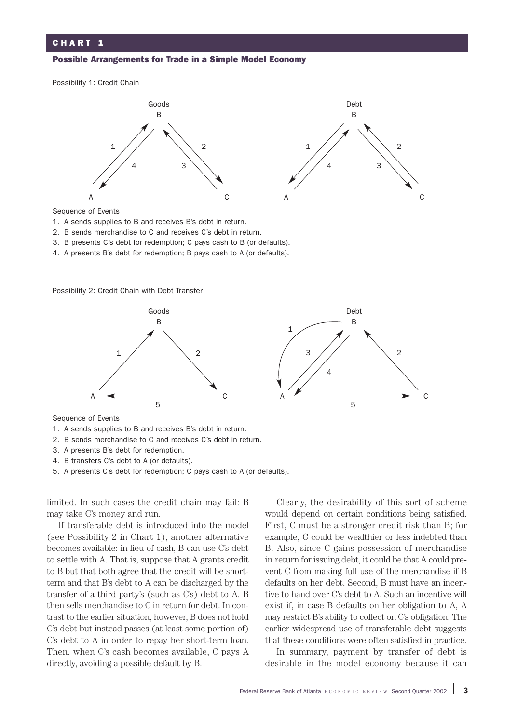

limited. In such cases the credit chain may fail: B may take C's money and run.

If transferable debt is introduced into the model (see Possibility 2 in Chart 1), another alternative becomes available: in lieu of cash, B can use C's debt to settle with A. That is, suppose that A grants credit to B but that both agree that the credit will be shortterm and that B's debt to A can be discharged by the transfer of a third party's (such as C's) debt to A. B then sells merchandise to C in return for debt. In contrast to the earlier situation, however, B does not hold C's debt but instead passes (at least some portion of) C's debt to A in order to repay her short-term loan. Then, when C's cash becomes available, C pays A directly, avoiding a possible default by B.

Clearly, the desirability of this sort of scheme would depend on certain conditions being satisfied. First, C must be a stronger credit risk than B; for example, C could be wealthier or less indebted than B. Also, since C gains possession of merchandise in return for issuing debt, it could be that A could prevent C from making full use of the merchandise if B defaults on her debt. Second, B must have an incentive to hand over C's debt to A. Such an incentive will exist if, in case B defaults on her obligation to A, A may restrict B's ability to collect on C's obligation. The earlier widespread use of transferable debt suggests that these conditions were often satisfied in practice.

In summary, payment by transfer of debt is desirable in the model economy because it can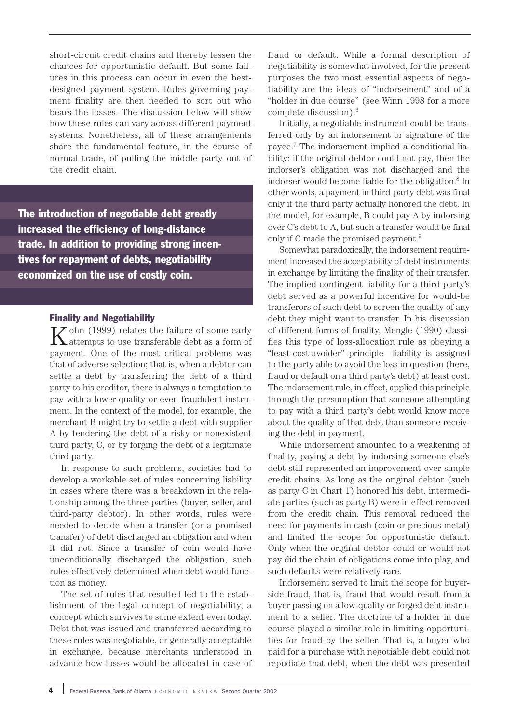short-circuit credit chains and thereby lessen the chances for opportunistic default. But some failures in this process can occur in even the bestdesigned payment system. Rules governing payment finality are then needed to sort out who bears the losses. The discussion below will show how these rules can vary across different payment systems. Nonetheless, all of these arrangements share the fundamental feature, in the course of normal trade, of pulling the middle party out of the credit chain.

The introduction of negotiable debt greatly increased the efficiency of long-distance trade. In addition to providing strong incentives for repayment of debts, negotiability economized on the use of costly coin.

# Finality and Negotiability

 $K$ <sup>ohn (1999) relates the failure of some early attempts to use transferable debt as a form of</sup> payment. One of the most critical problems was that of adverse selection; that is, when a debtor can settle a debt by transferring the debt of a third party to his creditor, there is always a temptation to pay with a lower-quality or even fraudulent instrument. In the context of the model, for example, the merchant B might try to settle a debt with supplier A by tendering the debt of a risky or nonexistent third party, C, or by forging the debt of a legitimate third party.

In response to such problems, societies had to develop a workable set of rules concerning liability in cases where there was a breakdown in the relationship among the three parties (buyer, seller, and third-party debtor). In other words, rules were needed to decide when a transfer (or a promised transfer) of debt discharged an obligation and when it did not. Since a transfer of coin would have unconditionally discharged the obligation, such rules effectively determined when debt would function as money.

The set of rules that resulted led to the establishment of the legal concept of negotiability, a concept which survives to some extent even today. Debt that was issued and transferred according to these rules was negotiable, or generally acceptable in exchange, because merchants understood in advance how losses would be allocated in case of fraud or default. While a formal description of negotiability is somewhat involved, for the present purposes the two most essential aspects of negotiability are the ideas of "indorsement" and of a "holder in due course" (see Winn 1998 for a more complete discussion).6

Initially, a negotiable instrument could be transferred only by an indorsement or signature of the payee.7 The indorsement implied a conditional liability: if the original debtor could not pay, then the indorser's obligation was not discharged and the indorser would become liable for the obligation.8 In other words, a payment in third-party debt was final only if the third party actually honored the debt. In the model, for example, B could pay A by indorsing over C's debt to A, but such a transfer would be final only if C made the promised payment.9

Somewhat paradoxically, the indorsement requirement increased the acceptability of debt instruments in exchange by limiting the finality of their transfer. The implied contingent liability for a third party's debt served as a powerful incentive for would-be transferors of such debt to screen the quality of any debt they might want to transfer. In his discussion of different forms of finality, Mengle (1990) classifies this type of loss-allocation rule as obeying a "least-cost-avoider" principle—liability is assigned to the party able to avoid the loss in question (here, fraud or default on a third party's debt) at least cost. The indorsement rule, in effect, applied this principle through the presumption that someone attempting to pay with a third party's debt would know more about the quality of that debt than someone receiving the debt in payment.

While indorsement amounted to a weakening of finality, paying a debt by indorsing someone else's debt still represented an improvement over simple credit chains. As long as the original debtor (such as party C in Chart 1) honored his debt, intermediate parties (such as party B) were in effect removed from the credit chain. This removal reduced the need for payments in cash (coin or precious metal) and limited the scope for opportunistic default. Only when the original debtor could or would not pay did the chain of obligations come into play, and such defaults were relatively rare.

Indorsement served to limit the scope for buyerside fraud, that is, fraud that would result from a buyer passing on a low-quality or forged debt instrument to a seller. The doctrine of a holder in due course played a similar role in limiting opportunities for fraud by the seller. That is, a buyer who paid for a purchase with negotiable debt could not repudiate that debt, when the debt was presented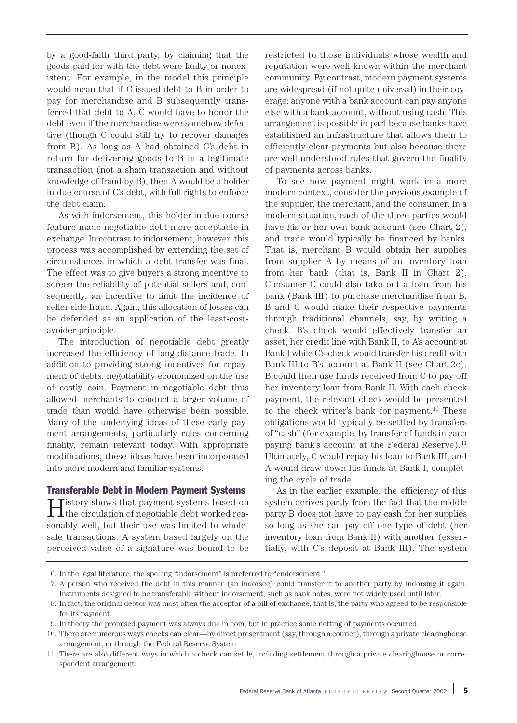by a good-faith third party, by claiming that the goods paid for with the debt were faulty or nonexistent. For example, in the model this principle would mean that if C issued debt to B in order to pay for merchandise and B subsequently transferred that debt to A, C would have to honor the debt even if the merchandise were somehow defective (though C could still try to recover damages from B). As long as A had obtained C's debt in return for delivering goods to B in a legitimate transaction (not a sham transaction and without knowledge of fraud by B), then A would be a holder in due course of C's debt, with full rights to enforce the debt claim.

As with indorsement, this holder-in-due-course feature made negotiable debt more acceptable in exchange. In contrast to indorsement, however, this process was accomplished by extending the set of circumstances in which a debt transfer was final. The effect was to give buyers a strong incentive to screen the reliability of potential sellers and, consequently, an incentive to limit the incidence of seller-side fraud. Again, this allocation of losses can be defended as an application of the least-costavoider principle.

The introduction of negotiable debt greatly increased the efficiency of long-distance trade. In addition to providing strong incentives for repayment of debts, negotiability economized on the use of costly coin. Payment in negotiable debt thus allowed merchants to conduct a larger volume of trade than would have otherwise been possible. Many of the underlying ideas of these early payment arrangements, particularly rules concerning finality, remain relevant today. With appropriate modifications, these ideas have been incorporated into more modern and familiar systems.

## Transferable Debt in Modern Payment Systems

History shows that payment systems based on the circulation of negotiable debt worked reasonably well, but their use was limited to wholesale transactions. A system based largely on the perceived value of a signature was bound to be restricted to those individuals whose wealth and reputation were well known within the merchant community. By contrast, modern payment systems are widespread (if not quite universal) in their coverage: anyone with a bank account can pay anyone else with a bank account, without using cash. This arrangement is possible in part because banks have established an infrastructure that allows them to efficiently clear payments but also because there are well-understood rules that govern the finality of payments across banks.

To see how payment might work in a more modern context, consider the previous example of the supplier, the merchant, and the consumer. In a modern situation, each of the three parties would have his or her own bank account (see Chart 2), and trade would typically be financed by banks. That is, merchant B would obtain her supplies from supplier A by means of an inventory loan from her bank (that is, Bank II in Chart 2). Consumer C could also take out a loan from his bank (Bank III) to purchase merchandise from B. B and C would make their respective payments through traditional channels, say, by writing a check. B's check would effectively transfer an asset, her credit line with Bank II, to A's account at Bank I while C's check would transfer his credit with Bank III to B's account at Bank II (see Chart 2c). B could then use funds received from C to pay off her inventory loan from Bank II. With each check payment, the relevant check would be presented to the check writer's bank for payment.10 These obligations would typically be settled by transfers of "cash" (for example, by transfer of funds in each paying bank's account at the Federal Reserve).<sup>11</sup> Ultimately, C would repay his loan to Bank III, and A would draw down his funds at Bank I, completing the cycle of trade.

As in the earlier example, the efficiency of this system derives partly from the fact that the middle party B does not have to pay cash for her supplies so long as she can pay off one type of debt (her inventory loan from Bank II) with another (essentially, with C's deposit at Bank III). The system

<sup>6.</sup> In the legal literature, the spelling "indorsement" is preferred to "endorsement."

<sup>7.</sup> A person who received the debt in this manner (an indorsee) could transfer it to another party by indorsing it again. Instruments designed to be transferable without indorsement, such as bank notes, were not widely used until later.

<sup>8.</sup> In fact, the original debtor was most often the acceptor of a bill of exchange, that is, the party who agreed to be responsible for its payment.

<sup>9.</sup> In theory the promised payment was always due in coin, but in practice some netting of payments occurred.

<sup>10.</sup> There are numerous ways checks can clear—by direct presentment (say, through a courier), through a private clearinghouse arrangement, or through the Federal Reserve System.

<sup>11.</sup> There are also different ways in which a check can settle, including settlement through a private clearinghouse or correspondent arrangement.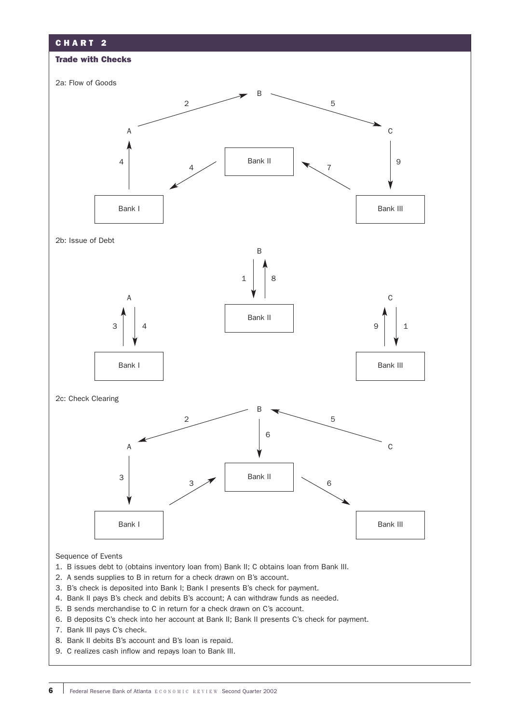

#### Sequence of Events

- 1. B issues debt to (obtains inventory loan from) Bank II; C obtains loan from Bank III.
- 2. A sends supplies to B in return for a check drawn on B's account.
- 3. B's check is deposited into Bank I; Bank I presents B's check for payment.
- 4. Bank II pays B's check and debits B's account; A can withdraw funds as needed.
- 5. B sends merchandise to C in return for a check drawn on C's account.
- 6. B deposits C's check into her account at Bank II; Bank II presents C's check for payment.
- 7. Bank III pays C's check.
- 8. Bank II debits B's account and B's loan is repaid.
- 9. C realizes cash inflow and repays loan to Bank III.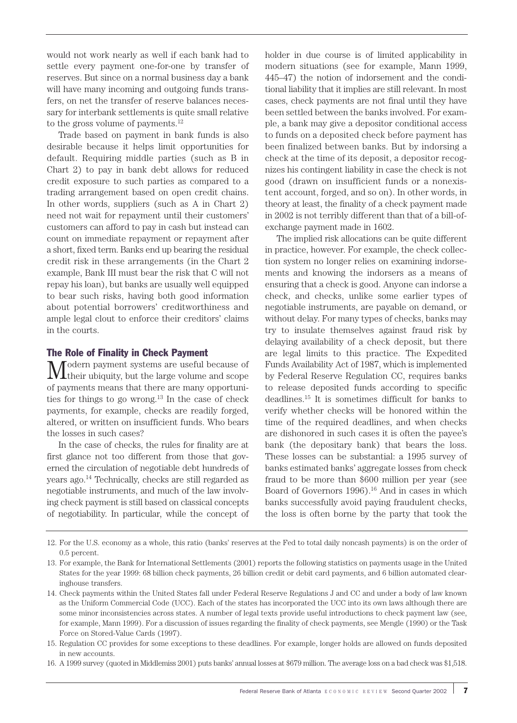would not work nearly as well if each bank had to settle every payment one-for-one by transfer of reserves. But since on a normal business day a bank will have many incoming and outgoing funds transfers, on net the transfer of reserve balances necessary for interbank settlements is quite small relative to the gross volume of payments.<sup>12</sup>

Trade based on payment in bank funds is also desirable because it helps limit opportunities for default. Requiring middle parties (such as B in Chart 2) to pay in bank debt allows for reduced credit exposure to such parties as compared to a trading arrangement based on open credit chains. In other words, suppliers (such as A in Chart 2) need not wait for repayment until their customers' customers can afford to pay in cash but instead can count on immediate repayment or repayment after a short, fixed term. Banks end up bearing the residual credit risk in these arrangements (in the Chart 2 example, Bank III must bear the risk that C will not repay his loan), but banks are usually well equipped to bear such risks, having both good information about potential borrowers' creditworthiness and ample legal clout to enforce their creditors' claims in the courts.

#### The Role of Finality in Check Payment

Modern payment systems are useful because of their ubiquity, but the large volume and scope of payments means that there are many opportunities for things to go wrong. $13$  In the case of check payments, for example, checks are readily forged, altered, or written on insufficient funds. Who bears the losses in such cases?

In the case of checks, the rules for finality are at first glance not too different from those that governed the circulation of negotiable debt hundreds of years ago.14 Technically, checks are still regarded as negotiable instruments, and much of the law involving check payment is still based on classical concepts of negotiability. In particular, while the concept of holder in due course is of limited applicability in modern situations (see for example, Mann 1999, 445–47) the notion of indorsement and the conditional liability that it implies are still relevant. In most cases, check payments are not final until they have been settled between the banks involved. For example, a bank may give a depositor conditional access to funds on a deposited check before payment has been finalized between banks. But by indorsing a check at the time of its deposit, a depositor recognizes his contingent liability in case the check is not good (drawn on insufficient funds or a nonexistent account, forged, and so on). In other words, in theory at least, the finality of a check payment made in 2002 is not terribly different than that of a bill-ofexchange payment made in 1602.

The implied risk allocations can be quite different in practice, however. For example, the check collection system no longer relies on examining indorsements and knowing the indorsers as a means of ensuring that a check is good. Anyone can indorse a check, and checks, unlike some earlier types of negotiable instruments, are payable on demand, or without delay. For many types of checks, banks may try to insulate themselves against fraud risk by delaying availability of a check deposit, but there are legal limits to this practice. The Expedited Funds Availability Act of 1987, which is implemented by Federal Reserve Regulation CC, requires banks to release deposited funds according to specific deadlines.15 It is sometimes difficult for banks to verify whether checks will be honored within the time of the required deadlines, and when checks are dishonored in such cases it is often the payee's bank (the depositary bank) that bears the loss. These losses can be substantial: a 1995 survey of banks estimated banks' aggregate losses from check fraud to be more than \$600 million per year (see Board of Governors 1996).<sup>16</sup> And in cases in which banks successfully avoid paying fraudulent checks, the loss is often borne by the party that took the

<sup>12.</sup> For the U.S. economy as a whole, this ratio (banks' reserves at the Fed to total daily noncash payments) is on the order of 0.5 percent.

<sup>13.</sup> For example, the Bank for International Settlements (2001) reports the following statistics on payments usage in the United States for the year 1999: 68 billion check payments, 26 billion credit or debit card payments, and 6 billion automated clearinghouse transfers.

<sup>14.</sup> Check payments within the United States fall under Federal Reserve Regulations J and CC and under a body of law known as the Uniform Commercial Code (UCC). Each of the states has incorporated the UCC into its own laws although there are some minor inconsistencies across states. A number of legal texts provide useful introductions to check payment law (see, for example, Mann 1999). For a discussion of issues regarding the finality of check payments, see Mengle (1990) or the Task Force on Stored-Value Cards (1997).

<sup>15.</sup> Regulation CC provides for some exceptions to these deadlines. For example, longer holds are allowed on funds deposited in new accounts.

<sup>16.</sup> A 1999 survey (quoted in Middlemiss 2001) puts banks' annual losses at \$679 million. The average loss on a bad check was \$1,518.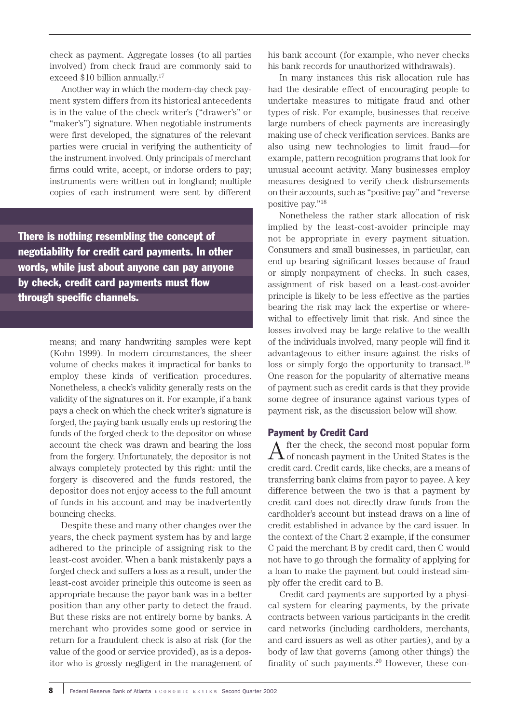check as payment. Aggregate losses (to all parties involved) from check fraud are commonly said to exceed \$10 billion annually.17

Another way in which the modern-day check payment system differs from its historical antecedents is in the value of the check writer's ("drawer's" or "maker's") signature. When negotiable instruments were first developed, the signatures of the relevant parties were crucial in verifying the authenticity of the instrument involved. Only principals of merchant firms could write, accept, or indorse orders to pay; instruments were written out in longhand; multiple copies of each instrument were sent by different

There is nothing resembling the concept of negotiability for credit card payments. In other words, while just about anyone can pay anyone by check, credit card payments must flow through specific channels.

> means; and many handwriting samples were kept (Kohn 1999). In modern circumstances, the sheer volume of checks makes it impractical for banks to employ these kinds of verification procedures. Nonetheless, a check's validity generally rests on the validity of the signatures on it. For example, if a bank pays a check on which the check writer's signature is forged, the paying bank usually ends up restoring the funds of the forged check to the depositor on whose account the check was drawn and bearing the loss from the forgery. Unfortunately, the depositor is not always completely protected by this right: until the forgery is discovered and the funds restored, the depositor does not enjoy access to the full amount of funds in his account and may be inadvertently bouncing checks.

> Despite these and many other changes over the years, the check payment system has by and large adhered to the principle of assigning risk to the least-cost avoider. When a bank mistakenly pays a forged check and suffers a loss as a result, under the least-cost avoider principle this outcome is seen as appropriate because the payor bank was in a better position than any other party to detect the fraud. But these risks are not entirely borne by banks. A merchant who provides some good or service in return for a fraudulent check is also at risk (for the value of the good or service provided), as is a depositor who is grossly negligent in the management of

his bank account (for example, who never checks his bank records for unauthorized withdrawals).

In many instances this risk allocation rule has had the desirable effect of encouraging people to undertake measures to mitigate fraud and other types of risk. For example, businesses that receive large numbers of check payments are increasingly making use of check verification services. Banks are also using new technologies to limit fraud—for example, pattern recognition programs that look for unusual account activity. Many businesses employ measures designed to verify check disbursements on their accounts, such as "positive pay" and "reverse positive pay."18

Nonetheless the rather stark allocation of risk implied by the least-cost-avoider principle may not be appropriate in every payment situation. Consumers and small businesses, in particular, can end up bearing significant losses because of fraud or simply nonpayment of checks. In such cases, assignment of risk based on a least-cost-avoider principle is likely to be less effective as the parties bearing the risk may lack the expertise or wherewithal to effectively limit that risk. And since the losses involved may be large relative to the wealth of the individuals involved, many people will find it advantageous to either insure against the risks of loss or simply forgo the opportunity to transact.<sup>19</sup> One reason for the popularity of alternative means of payment such as credit cards is that they provide some degree of insurance against various types of payment risk, as the discussion below will show.

### Payment by Credit Card

 $A$  fter the check, the second most popular form<br>of noncash payment in the United States is the credit card. Credit cards, like checks, are a means of transferring bank claims from payor to payee. A key difference between the two is that a payment by credit card does not directly draw funds from the cardholder's account but instead draws on a line of credit established in advance by the card issuer. In the context of the Chart 2 example, if the consumer C paid the merchant B by credit card, then C would not have to go through the formality of applying for a loan to make the payment but could instead simply offer the credit card to B.

Credit card payments are supported by a physical system for clearing payments, by the private contracts between various participants in the credit card networks (including cardholders, merchants, and card issuers as well as other parties), and by a body of law that governs (among other things) the finality of such payments.20 However, these con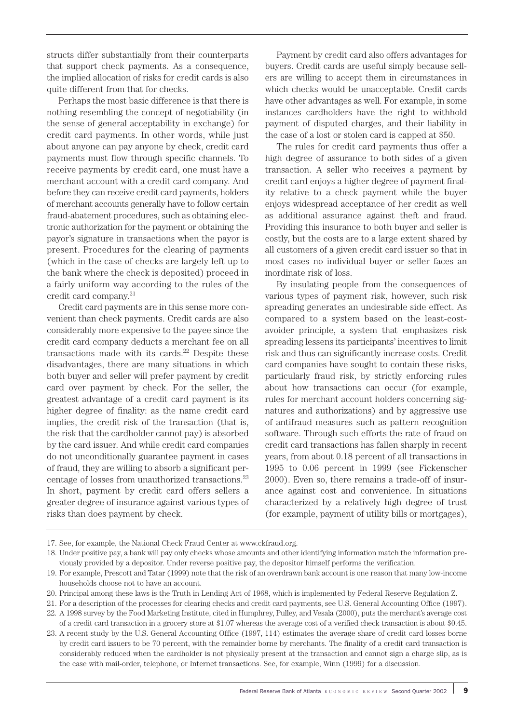structs differ substantially from their counterparts that support check payments. As a consequence, the implied allocation of risks for credit cards is also quite different from that for checks.

Perhaps the most basic difference is that there is nothing resembling the concept of negotiability (in the sense of general acceptability in exchange) for credit card payments. In other words, while just about anyone can pay anyone by check, credit card payments must flow through specific channels. To receive payments by credit card, one must have a merchant account with a credit card company. And before they can receive credit card payments, holders of merchant accounts generally have to follow certain fraud-abatement procedures, such as obtaining electronic authorization for the payment or obtaining the payor's signature in transactions when the payor is present. Procedures for the clearing of payments (which in the case of checks are largely left up to the bank where the check is deposited) proceed in a fairly uniform way according to the rules of the credit card company.21

Credit card payments are in this sense more convenient than check payments. Credit cards are also considerably more expensive to the payee since the credit card company deducts a merchant fee on all transactions made with its cards.<sup>22</sup> Despite these disadvantages, there are many situations in which both buyer and seller will prefer payment by credit card over payment by check. For the seller, the greatest advantage of a credit card payment is its higher degree of finality: as the name credit card implies, the credit risk of the transaction (that is, the risk that the cardholder cannot pay) is absorbed by the card issuer. And while credit card companies do not unconditionally guarantee payment in cases of fraud, they are willing to absorb a significant percentage of losses from unauthorized transactions.23 In short, payment by credit card offers sellers a greater degree of insurance against various types of risks than does payment by check.

Payment by credit card also offers advantages for buyers. Credit cards are useful simply because sellers are willing to accept them in circumstances in which checks would be unacceptable. Credit cards have other advantages as well. For example, in some instances cardholders have the right to withhold payment of disputed charges, and their liability in the case of a lost or stolen card is capped at \$50.

The rules for credit card payments thus offer a high degree of assurance to both sides of a given transaction. A seller who receives a payment by credit card enjoys a higher degree of payment finality relative to a check payment while the buyer enjoys widespread acceptance of her credit as well as additional assurance against theft and fraud. Providing this insurance to both buyer and seller is costly, but the costs are to a large extent shared by all customers of a given credit card issuer so that in most cases no individual buyer or seller faces an inordinate risk of loss.

By insulating people from the consequences of various types of payment risk, however, such risk spreading generates an undesirable side effect. As compared to a system based on the least-costavoider principle, a system that emphasizes risk spreading lessens its participants' incentives to limit risk and thus can significantly increase costs. Credit card companies have sought to contain these risks, particularly fraud risk, by strictly enforcing rules about how transactions can occur (for example, rules for merchant account holders concerning signatures and authorizations) and by aggressive use of antifraud measures such as pattern recognition software. Through such efforts the rate of fraud on credit card transactions has fallen sharply in recent years, from about 0.18 percent of all transactions in 1995 to 0.06 percent in 1999 (see Fickenscher 2000). Even so, there remains a trade-off of insurance against cost and convenience. In situations characterized by a relatively high degree of trust (for example, payment of utility bills or mortgages),

<sup>17.</sup> See, for example, the National Check Fraud Center at www.ckfraud.org.

<sup>18.</sup> Under positive pay, a bank will pay only checks whose amounts and other identifying information match the information previously provided by a depositor. Under reverse positive pay, the depositor himself performs the verification.

<sup>19.</sup> For example, Prescott and Tatar (1999) note that the risk of an overdrawn bank account is one reason that many low-income households choose not to have an account.

<sup>20.</sup> Principal among these laws is the Truth in Lending Act of 1968, which is implemented by Federal Reserve Regulation Z.

<sup>21.</sup> For a description of the processes for clearing checks and credit card payments, see U.S. General Accounting Office (1997).

<sup>22.</sup> A 1998 survey by the Food Marketing Institute, cited in Humphrey, Pulley, and Vesala (2000), puts the merchant's average cost of a credit card transaction in a grocery store at \$1.07 whereas the average cost of a verified check transaction is about \$0.45.

<sup>23.</sup> A recent study by the U.S. General Accounting Office (1997, 114) estimates the average share of credit card losses borne by credit card issuers to be 70 percent, with the remainder borne by merchants. The finality of a credit card transaction is considerably reduced when the cardholder is not physically present at the transaction and cannot sign a charge slip, as is the case with mail-order, telephone, or Internet transactions. See, for example, Winn (1999) for a discussion.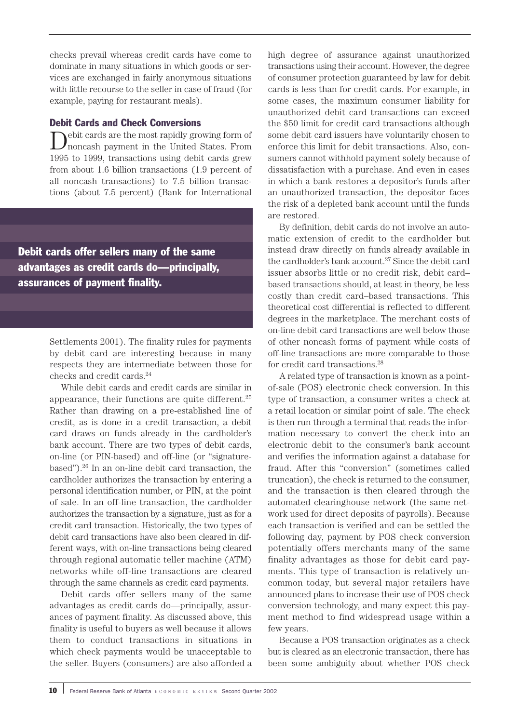checks prevail whereas credit cards have come to dominate in many situations in which goods or services are exchanged in fairly anonymous situations with little recourse to the seller in case of fraud (for example, paying for restaurant meals).

## Debit Cards and Check Conversions

ebit cards are the most rapidly growing form of noncash payment in the United States. From 1995 to 1999, transactions using debit cards grew from about 1.6 billion transactions (1.9 percent of all noncash transactions) to 7.5 billion transactions (about 7.5 percent) (Bank for International

Debit cards offer sellers many of the same advantages as credit cards do—principally, assurances of payment finality.

> Settlements 2001). The finality rules for payments by debit card are interesting because in many respects they are intermediate between those for checks and credit cards.24

> While debit cards and credit cards are similar in appearance, their functions are quite different.25 Rather than drawing on a pre-established line of credit, as is done in a credit transaction, a debit card draws on funds already in the cardholder's bank account. There are two types of debit cards, on-line (or PIN-based) and off-line (or "signaturebased").26 In an on-line debit card transaction, the cardholder authorizes the transaction by entering a personal identification number, or PIN, at the point of sale. In an off-line transaction, the cardholder authorizes the transaction by a signature, just as for a credit card transaction. Historically, the two types of debit card transactions have also been cleared in different ways, with on-line transactions being cleared through regional automatic teller machine (ATM) networks while off-line transactions are cleared through the same channels as credit card payments.

> Debit cards offer sellers many of the same advantages as credit cards do—principally, assurances of payment finality. As discussed above, this finality is useful to buyers as well because it allows them to conduct transactions in situations in which check payments would be unacceptable to the seller. Buyers (consumers) are also afforded a

high degree of assurance against unauthorized transactions using their account. However, the degree of consumer protection guaranteed by law for debit cards is less than for credit cards. For example, in some cases, the maximum consumer liability for unauthorized debit card transactions can exceed the \$50 limit for credit card transactions although some debit card issuers have voluntarily chosen to enforce this limit for debit transactions. Also, consumers cannot withhold payment solely because of dissatisfaction with a purchase. And even in cases in which a bank restores a depositor's funds after an unauthorized transaction, the depositor faces the risk of a depleted bank account until the funds are restored.

By definition, debit cards do not involve an automatic extension of credit to the cardholder but instead draw directly on funds already available in the cardholder's bank account.<sup>27</sup> Since the debit card issuer absorbs little or no credit risk, debit card– based transactions should, at least in theory, be less costly than credit card–based transactions. This theoretical cost differential is reflected to different degrees in the marketplace. The merchant costs of on-line debit card transactions are well below those of other noncash forms of payment while costs of off-line transactions are more comparable to those for credit card transactions.28

A related type of transaction is known as a pointof-sale (POS) electronic check conversion. In this type of transaction, a consumer writes a check at a retail location or similar point of sale. The check is then run through a terminal that reads the information necessary to convert the check into an electronic debit to the consumer's bank account and verifies the information against a database for fraud. After this "conversion" (sometimes called truncation), the check is returned to the consumer, and the transaction is then cleared through the automated clearinghouse network (the same network used for direct deposits of payrolls). Because each transaction is verified and can be settled the following day, payment by POS check conversion potentially offers merchants many of the same finality advantages as those for debit card payments. This type of transaction is relatively uncommon today, but several major retailers have announced plans to increase their use of POS check conversion technology, and many expect this payment method to find widespread usage within a few years.

Because a POS transaction originates as a check but is cleared as an electronic transaction, there has been some ambiguity about whether POS check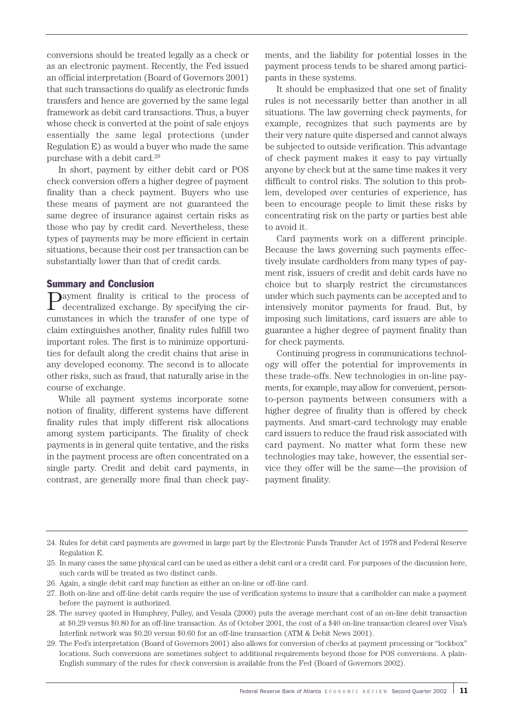conversions should be treated legally as a check or as an electronic payment. Recently, the Fed issued an official interpretation (Board of Governors 2001) that such transactions do qualify as electronic funds transfers and hence are governed by the same legal framework as debit card transactions. Thus, a buyer whose check is converted at the point of sale enjoys essentially the same legal protections (under Regulation E) as would a buyer who made the same purchase with a debit card.29

In short, payment by either debit card or POS check conversion offers a higher degree of payment finality than a check payment. Buyers who use these means of payment are not guaranteed the same degree of insurance against certain risks as those who pay by credit card. Nevertheless, these types of payments may be more efficient in certain situations, because their cost per transaction can be substantially lower than that of credit cards.

#### Summary and Conclusion

Payment finality is critical to the process of decentralized exchange. By specifying the circumstances in which the transfer of one type of claim extinguishes another, finality rules fulfill two important roles. The first is to minimize opportunities for default along the credit chains that arise in any developed economy. The second is to allocate other risks, such as fraud, that naturally arise in the course of exchange.

While all payment systems incorporate some notion of finality, different systems have different finality rules that imply different risk allocations among system participants. The finality of check payments is in general quite tentative, and the risks in the payment process are often concentrated on a single party. Credit and debit card payments, in contrast, are generally more final than check payments, and the liability for potential losses in the payment process tends to be shared among participants in these systems.

It should be emphasized that one set of finality rules is not necessarily better than another in all situations. The law governing check payments, for example, recognizes that such payments are by their very nature quite dispersed and cannot always be subjected to outside verification. This advantage of check payment makes it easy to pay virtually anyone by check but at the same time makes it very difficult to control risks. The solution to this problem, developed over centuries of experience, has been to encourage people to limit these risks by concentrating risk on the party or parties best able to avoid it.

Card payments work on a different principle. Because the laws governing such payments effectively insulate cardholders from many types of payment risk, issuers of credit and debit cards have no choice but to sharply restrict the circumstances under which such payments can be accepted and to intensively monitor payments for fraud. But, by imposing such limitations, card issuers are able to guarantee a higher degree of payment finality than for check payments.

Continuing progress in communications technology will offer the potential for improvements in these trade-offs. New technologies in on-line payments, for example, may allow for convenient, personto-person payments between consumers with a higher degree of finality than is offered by check payments. And smart-card technology may enable card issuers to reduce the fraud risk associated with card payment. No matter what form these new technologies may take, however, the essential service they offer will be the same—the provision of payment finality.

<sup>24.</sup> Rules for debit card payments are governed in large part by the Electronic Funds Transfer Act of 1978 and Federal Reserve Regulation E.

<sup>25.</sup> In many cases the same physical card can be used as either a debit card or a credit card. For purposes of the discussion here, such cards will be treated as two distinct cards.

<sup>26.</sup> Again, a single debit card may function as either an on-line or off-line card.

<sup>27.</sup> Both on-line and off-line debit cards require the use of verification systems to insure that a cardholder can make a payment before the payment is authorized.

<sup>28.</sup> The survey quoted in Humphrey, Pulley, and Vesala (2000) puts the average merchant cost of an on-line debit transaction at \$0.29 versus \$0.80 for an off-line transaction. As of October 2001, the cost of a \$40 on-line transaction cleared over Visa's Interlink network was \$0.20 versus \$0.60 for an off-line transaction (ATM & Debit News 2001).

<sup>29.</sup> The Fed's interpretation (Board of Governors 2001) also allows for conversion of checks at payment processing or "lockbox" locations. Such conversions are sometimes subject to additional requirements beyond those for POS conversions. A plain-English summary of the rules for check conversion is available from the Fed (Board of Governors 2002).